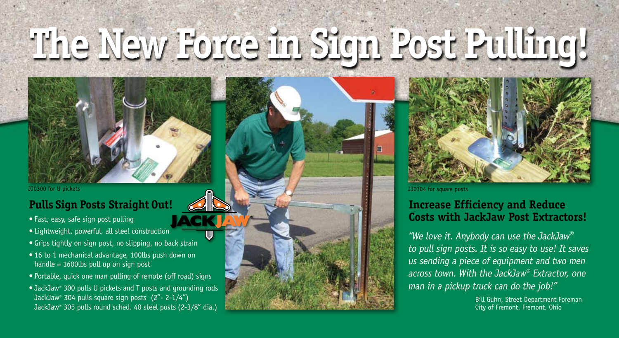# **The New Force in Sign Post Pulling!**

#### **Pulls Sign Posts Straight Out!**

- Fast, easy, safe sign post pulling
- • Lightweight, powerful, all steel construction
- Grips tightly on sign post, no slipping, no back strain
- 16 to 1 mechanical advantage, 100lbs push down on handle = 1600lbs pull up on sign post
- Portable, quick one man pulling of remote (off road) signs
- JackJaw® 300 pulls U pickets and T posts and grounding rods JackJaw® 304 pulls square sign posts (2"- 2-1/4") JackJaw® 305 pulls round sched. 40 steel posts (2-3/8" dia.)



JJ0300 for U pickets **JJ0304** for square posts

#### **Increase Efficiency and Reduce Costs with JackJaw Post Extractors!**

"We love it. Anybody can use the JackJaw $^{\circ}$ to pull sign posts. It is so easy to use! It saves us sending a piece of equipment and two men across town. With the JackJaw® Extractor, one man in a pickup truck can do the job!"

> Bill Guhn, Street Department Foreman City of Fremont, Fremont, Ohio